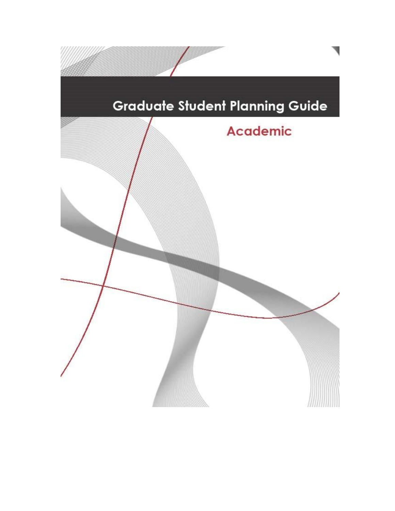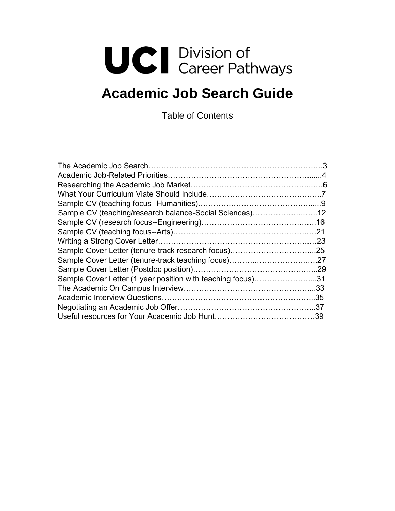# **UCI** Division of<br>Career Pathways

# **Academic Job Search Guide**

Table of Contents

| Sample CV (teaching/research balance-Social Sciences)12     |  |
|-------------------------------------------------------------|--|
|                                                             |  |
|                                                             |  |
|                                                             |  |
|                                                             |  |
|                                                             |  |
|                                                             |  |
| Sample Cover Letter (1 year position with teaching focus)31 |  |
|                                                             |  |
|                                                             |  |
|                                                             |  |
|                                                             |  |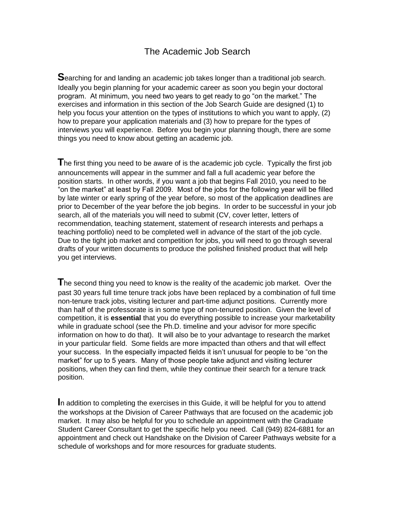### The Academic Job Search

**S**earching for and landing an academic job takes longer than a traditional job search. Ideally you begin planning for your academic career as soon you begin your doctoral program. At minimum, you need two years to get ready to go "on the market." The exercises and information in this section of the Job Search Guide are designed (1) to help you focus your attention on the types of institutions to which you want to apply, (2) how to prepare your application materials and (3) how to prepare for the types of interviews you will experience. Before you begin your planning though, there are some things you need to know about getting an academic job.

**T**he first thing you need to be aware of is the academic job cycle. Typically the first job announcements will appear in the summer and fall a full academic year before the position starts. In other words, if you want a job that begins Fall 2010, you need to be "on the market" at least by Fall 2009. Most of the jobs for the following year will be filled by late winter or early spring of the year before, so most of the application deadlines are prior to December of the year before the job begins. In order to be successful in your job search, all of the materials you will need to submit (CV, cover letter, letters of recommendation, teaching statement, statement of research interests and perhaps a teaching portfolio) need to be completed well in advance of the start of the job cycle. Due to the tight job market and competition for jobs, you will need to go through several drafts of your written documents to produce the polished finished product that will help you get interviews.

**The second thing you need to know is the reality of the academic job market. Over the** past 30 years full time tenure track jobs have been replaced by a combination of full time non-tenure track jobs, visiting lecturer and part-time adjunct positions. Currently more than half of the professorate is in some type of non-tenured position. Given the level of competition, it is **essential** that you do everything possible to increase your marketability while in graduate school (see the Ph.D. timeline and your advisor for more specific information on how to do that). It will also be to your advantage to research the market in your particular field. Some fields are more impacted than others and that will effect your success. In the especially impacted fields it isn't unusual for people to be "on the market" for up to 5 years. Many of those people take adjunct and visiting lecturer positions, when they can find them, while they continue their search for a tenure track position.

**I**n addition to completing the exercises in this Guide, it will be helpful for you to attend the workshops at the Division of Career Pathways that are focused on the academic job market. It may also be helpful for you to schedule an appointment with the Graduate Student Career Consultant to get the specific help you need. Call (949) 824-6881 for an appointment and check out Handshake on the Division of Career Pathways website for a schedule of workshops and for more resources for graduate students.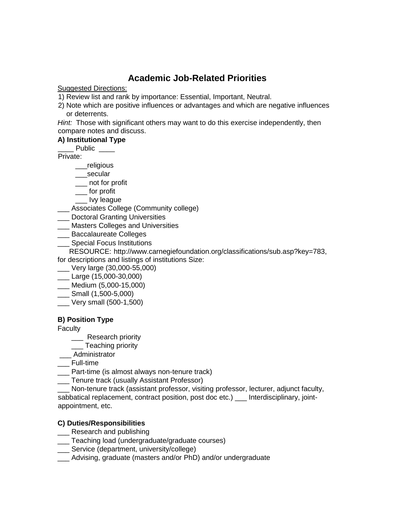### **Academic Job-Related Priorities**

Suggested Directions:

1) Review list and rank by importance: Essential, Important, Neutral.

2) Note which are positive influences or advantages and which are negative influences or deterrents.

*Hint:* Those with significant others may want to do this exercise independently, then compare notes and discuss.

### **A) Institutional Type**

Public \_\_\_\_

Private:

\_\_\_religious

\_\_\_secular

\_\_\_ not for profit

\_\_\_ for profit

lvy league

\_\_\_ Associates College (Community college)

\_\_\_ Doctoral Granting Universities

\_\_\_ Masters Colleges and Universities

\_\_\_ Baccalaureate Colleges

**\_\_\_ Special Focus Institutions** 

RESOURCE: http://www.carnegiefoundation.org/classifications/sub.asp?key=783, for descriptions and listings of institutions Size:

\_\_\_ Very large (30,000-55,000)

\_\_\_ Large (15,000-30,000)

\_\_\_ Medium (5,000-15,000)

- \_\_\_ Small (1,500-5,000)
- \_\_\_ Very small (500-1,500)

### **B) Position Type**

**Faculty** 

\_\_\_ Research priority

**\_\_\_** Teaching priority

\_\_\_ Administrator

\_\_\_ Full-time

\_\_\_ Part-time (is almost always non-tenure track)

**\_\_\_** Tenure track (usually Assistant Professor)

Non-tenure track (assistant professor, visiting professor, lecturer, adjunct faculty, sabbatical replacement, contract position, post doc etc.) \_\_ Interdisciplinary, jointappointment, etc.

### **C) Duties/Responsibilities**

- **\_\_\_** Research and publishing
- \_\_\_ Teaching load (undergraduate/graduate courses)
- \_\_\_ Service (department, university/college)
- Advising, graduate (masters and/or PhD) and/or undergraduate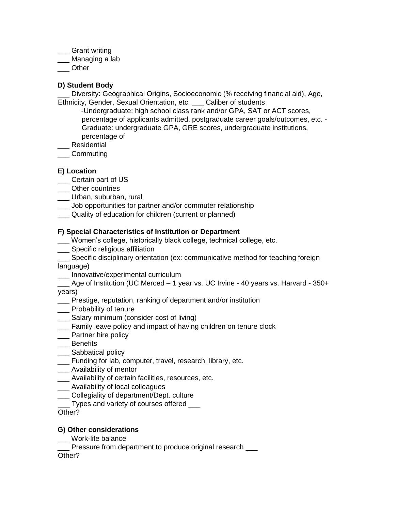\_\_\_ Grant writing

\_\_\_ Managing a lab

\_\_\_ Other

### **D) Student Body**

\_\_\_ Diversity: Geographical Origins, Socioeconomic (% receiving financial aid), Age, Ethnicity, Gender, Sexual Orientation, etc. \_\_\_ Caliber of students

-Undergraduate: high school class rank and/or GPA, SAT or ACT scores, percentage of applicants admitted, postgraduate career goals/outcomes, etc. - Graduate: undergraduate GPA, GRE scores, undergraduate institutions, percentage of

\_\_\_ Residential

\_\_\_ Commuting

### **E) Location**

- \_\_\_ Certain part of US
- \_\_\_ Other countries
- \_\_\_ Urban, suburban, rural
- \_\_\_ Job opportunities for partner and/or commuter relationship
- Quality of education for children (current or planned)

### **F) Special Characteristics of Institution or Department**

- \_\_\_ Women's college, historically black college, technical college, etc.
- **LETT** Specific religious affiliation
- \_\_\_ Specific disciplinary orientation (ex: communicative method for teaching foreign language)
- \_\_\_ Innovative/experimental curriculum

\_\_\_ Age of Institution (UC Merced – 1 year vs. UC Irvine - 40 years vs. Harvard - 350+ years)

- \_\_\_ Prestige, reputation, ranking of department and/or institution
- \_\_\_ Probability of tenure
- \_\_\_ Salary minimum (consider cost of living)
- \_\_\_ Family leave policy and impact of having children on tenure clock
- \_\_\_ Partner hire policy
- \_\_\_ Benefits
- \_\_\_ Sabbatical policy
- \_\_\_ Funding for lab, computer, travel, research, library, etc.
- \_\_\_ Availability of mentor
- \_\_\_ Availability of certain facilities, resources, etc.
- \_\_\_ Availability of local colleagues
- \_\_\_ Collegiality of department/Dept. culture
- \_\_\_ Types and variety of courses offered \_\_\_

Other?

### **G) Other considerations**

\_\_\_ Work-life balance

\_\_\_ Pressure from department to produce original research \_\_\_

Other?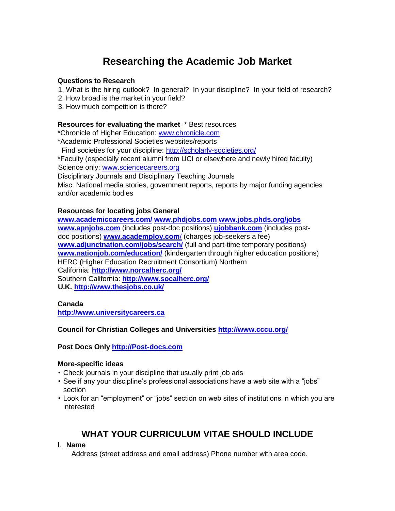# **Researching the Academic Job Market**

### **Questions to Research**

- 1. What is the hiring outlook? In general? In your discipline? In your field of research?
- 2. How broad is the market in your field?
- 3. How much competition is there?

### **Resources for evaluating the market** \* Best resources

\*Chronicle of Higher Education: [www.chronicle.com](http://www.chronicle.com/) \*Academic Professional Societies websites/reports Find societies for your discipline:<http://scholarly-societies.org/> \*Faculty (especially recent alumni from UCI or elsewhere and newly hired faculty) Science only: [www.sciencecareers.org](http://www.sciencecareers.org/) Disciplinary Journals and Disciplinary Teaching Journals

Misc: National media stories, government reports, reports by major funding agencies and/or academic bodies

### **Resources for locating jobs General**

**[www.academiccareers.com/](http://www.academiccareers.com/) www.phdjobs.com www.jobs.phds.org/jobs www.apnjobs.com** (includes post-doc positions) **[ujobbank.com](http://ujobbank.com/)** [\(](http://ujobbank.com/)includes postdoc positions) **[www.academploy.com](http://www.academploy.com/)**[/](http://www.academploy.com/) (charges job-seekers a fee) **[www.adjunctnation.com/jobs/search/](http://www.adjunctnation.com/jobs/search/)** (full and part-time temporary positions) **[www.nationjob.com/education/](http://www.nationjob.com/education/)** [\(](http://www.nationjob.com/education/)kindergarten through higher education positions) HERC (Higher Education Recruitment Consortium) Northern California: **<http://www.norcalherc.org/>** Southern California[:](http://www.socalherc.org/) **<http://www.socalherc.org/> U.K.<http://www.thesjobs.co.uk/>**

### **Canada**

**[http://www.universitycareers.ca](http://www.universitycareers.ca/)**

### **Council for Christian Colleges and Universities<http://www.cccu.org/>**

### **Post Docs Only [http://Post-docs.com](http://post-docs.com/)**

### **More-specific ideas**

- Check journals in your discipline that usually print job ads
- See if any your discipline's professional associations have a web site with a "jobs" section
- Look for an "employment" or "jobs" section on web sites of institutions in which you are interested

### **WHAT YOUR CURRICULUM VITAE SHOULD INCLUDE**

### I. **Name**

Address (street address and email address) Phone number with area code.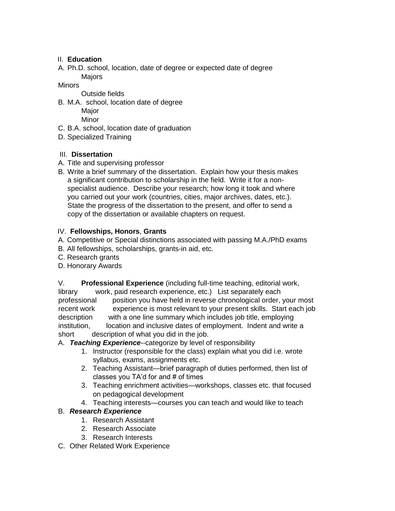### II. **Education**

A. Ph.D. school, location, date of degree or expected date of degree Majors

Minors

- Outside fields
- B. M.A. school, location date of degree

Maior Minor

- C. B.A. school, location date of graduation
- D. Specialized Training

### III. **Dissertation**

- A. Title and supervising professor
- B. Write a brief summary of the dissertation. Explain how your thesis makes a significant contribution to scholarship in the field. Write it for a nonspecialist audience. Describe your research; how long it took and where you carried out your work (countries, cities, major archives, dates, etc.). State the progress of the dissertation to the present, and offer to send a copy of the dissertation or available chapters on request.

### IV. **Fellowships, Honors**, **Grants**

- A. Competitive or Special distinctions associated with passing M.A./PhD exams
- B. All fellowships, scholarships, grants-in aid, etc.
- C. Research grants
- D. Honorary Awards

V. **Professional Experience** (including full-time teaching, editorial work,

library work, paid research experience, etc.) List separately each professional position you have held in reverse chronological order, your most recent work experience is most relevant to your present skills. Start each job description with a one line summary which includes job title, employing institution, location and inclusive dates of employment. Indent and write a short description of what you did in the job.

### A. *Teaching Experience*--categorize by level of responsibility

- 1. Instructor (responsible for the class) explain what you did i.e. wrote syllabus, exams, assignments etc.
- 2. Teaching Assistant—brief paragraph of duties performed, then list of classes you TA'd for and # of times
- 3. Teaching enrichment activities—workshops, classes etc. that focused on pedagogical development
- 4. Teaching interests—courses you can teach and would like to teach

### B. *Research Experience*

- 1. Research Assistant
- 2. Research Associate
- 3. Research Interests
- C. Other Related Work Experience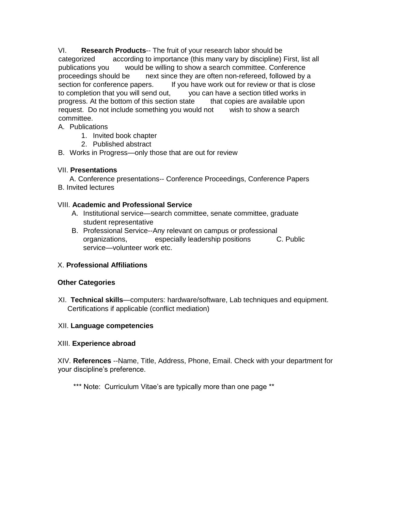VI. **Research Products**-- The fruit of your research labor should be categorized according to importance (this many vary by discipline) First, list all publications you would be willing to show a search committee. Conference proceedings should be next since they are often non-refereed, followed by a section for conference papers. If you have work out for review or that is close to completion that you will send out, you can have a section titled works in progress. At the bottom of this section state that copies are available upon request. Do not include something you would not wish to show a search committee.

- A. Publications
	- 1. Invited book chapter
	- 2. Published abstract

B. Works in Progress—only those that are out for review

### VII. **Presentations**

 A. Conference presentations-- Conference Proceedings, Conference Papers B. Invited lectures

### VIII. **Academic and Professional Service**

- A. Institutional service—search committee, senate committee, graduate student representative
- B. Professional Service--Any relevant on campus or professional organizations, especially leadership positions C. Public service—volunteer work etc.

### X. **Professional Affiliations**

### **Other Categories**

XI. **Technical skills**—computers: hardware/software, Lab techniques and equipment. Certifications if applicable (conflict mediation)

### XII. **Language competencies**

### XIII. **Experience abroad**

XIV. **References** --Name, Title, Address, Phone, Email. Check with your department for your discipline's preference.

\*\*\* Note: Curriculum Vitae's are typically more than one page \*\*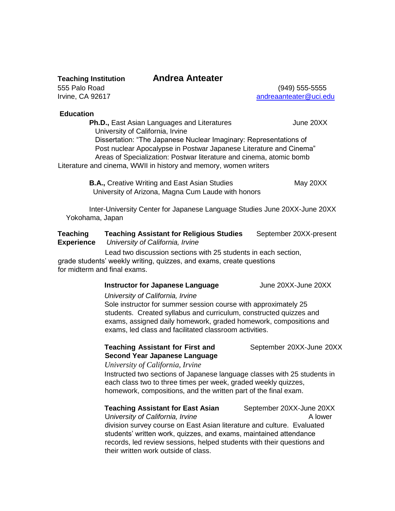### **Teaching Institution Andrea Anteater**

555 Palo Road (949) 555-5555 Irvine, CA 92617 **andreaanteater@uci.edu** 

### **Education**

**Ph.D., East Asian Languages and Literatures** *June 20XX* University of California, Irvine Dissertation: "The Japanese Nuclear Imaginary: Representations of Post nuclear Apocalypse in Postwar Japanese Literature and Cinema" Areas of Specialization: Postwar literature and cinema, atomic bomb Literature and cinema, WWII in history and memory, women writers

> **B.A., Creative Writing and East Asian Studies May 20XX** University of Arizona, Magna Cum Laude with honors

 Inter-University Center for Japanese Language Studies June 20XX-June 20XXYokohama, Japan

### **Teaching Teaching Assistant for Religious Studies** September 20XX-present **Experience** *University of California, Irvine*

Lead two discussion sections with 25 students in each section,

grade students' weekly writing, quizzes, and exams, create questions for midterm and final exams.

### **Instructor for Japanese Language** June 20XX-June 20XX

### *University of California, Irvine*

Sole instructor for summer session course with approximately 25 students. Created syllabus and curriculum, constructed quizzes and exams, assigned daily homework, graded homework, compositions and exams, led class and facilitated classroom activities.

**Teaching Assistant for First and September 20XX-June 20XX Second Year Japanese Language** 

### *University of California, Irvine*

Instructed two sections of Japanese language classes with 25 students in each class two to three times per week, graded weekly quizzes, homework, compositions, and the written part of the final exam.

### **Teaching Assistant for East Asian** September 20XX-June 20XX

U*niversity of California, Irvine* A lower division survey course on East Asian literature and culture. Evaluated students' written work, quizzes, and exams, maintained attendance records, led review sessions, helped students with their questions and their written work outside of class.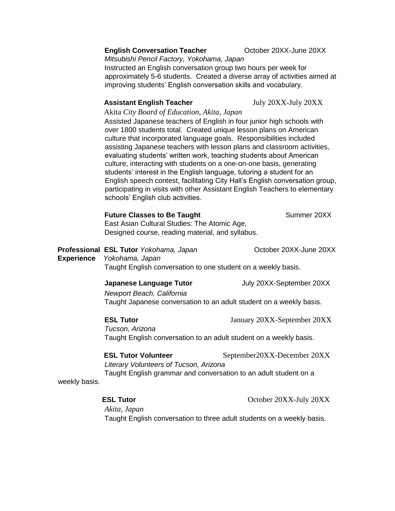### **English Conversation Teacher <b>Conversation Teacher October 20XX-June 20XX**

*Mitsubishi Pencil Factory, Yokohama, Japan*  Instructed an English conversation group two hours per week for approximately 5-6 students. Created a diverse array of activities aimed at improving students' English conversation skills and vocabulary.

### **Assistant English Teacher** July 20XX-July 20XX

Akita *City Board of Education, Akita, Japan*

Assisted Japanese teachers of English in four junior high schools with over 1800 students total. Created unique lesson plans on American culture that incorporated language goals. Responsibilities included assisting Japanese teachers with lesson plans and classroom activities, evaluating students' written work, teaching students about American culture, interacting with students on a one-on-one basis, generating students' interest in the English language, tutoring a student for an English speech contest, facilitating City Hall's English conversation group, participating in visits with other Assistant English Teachers to elementary schools' English club activities.

### **Future Classes to Be Taught**  Summer 20XX

East Asian Cultural Studies: The Atomic Age, Designed course, reading material, and syllabus.

**Professional ESL Tutor** *Yokohama, Japan October 20XX-June 20XX* **Experience** *Yokohama, Japan*  Taught English conversation to one student on a weekly basis.

**Japanese Language Tutor July 20XX-September 20XX** 

*Newport Beach, California* Taught Japanese conversation to an adult student on a weekly basis.

**ESL Tutor** January 20XX-September 20XX

*Tucson, Arizona* Taught English conversation to an adult student on a weekly basis.

**ESL Tutor Volunteer September20XX-December 20XX**  *Literary Volunteers of Tucson, Arizona* Taught English grammar and conversation to an adult student on a

weekly basis.

**ESL Tutor** October 20XX-July 20XX

*Akita, Japan*  Taught English conversation to three adult students on a weekly basis.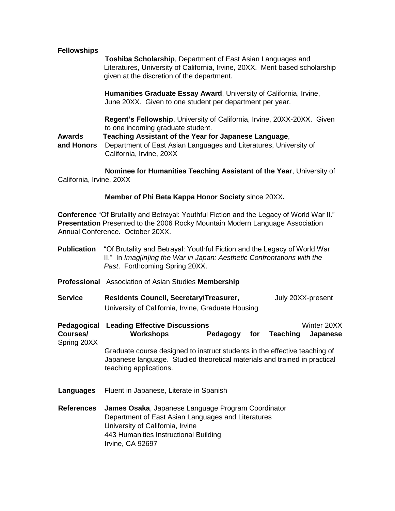### **Fellowships**

 **Toshiba Scholarship**, Department of East Asian Languages and Literatures, University of California, Irvine, 20XX. Merit based scholarship given at the discretion of the department.

**Humanities Graduate Essay Award**, University of California, Irvine, June 20XX. Given to one student per department per year.

**Regent's Fellowship**, University of California, Irvine, 20XX-20XX. Given to one incoming graduate student.

**Awards Teaching Assistant of the Year for Japanese Language**,

**and Honors** Department of East Asian Languages and Literatures, University of California, Irvine, 20XX

 **Nominee for Humanities Teaching Assistant of the Year**, University of California, Irvine, 20XX

### **Member of Phi Beta Kappa Honor Society** since 20XX**.**

**Conference** "Of Brutality and Betrayal: Youthful Fiction and the Legacy of World War II." **Presentation** Presented to the 2006 Rocky Mountain Modern Language Association Annual Conference. October 20XX.

- **Publication** "Of Brutality and Betrayal: Youthful Fiction and the Legacy of World War II." In *Imag[in]ing the War in Japan: Aesthetic Confrontations with the Past*. Forthcoming Spring 20XX.
- **Professional** Association of Asian Studies **Membership**
- **Service Residents Council, Secretary/Treasurer,** July 20XX-present University of California, Irvine, Graduate Housing

**Pedagogical Leading Effective Discussions** Winter 20XX **Courses/ Workshops Pedagogy for Teaching Japanese**  Spring 20XX

> Graduate course designed to instruct students in the effective teaching of Japanese language. Studied theoretical materials and trained in practical teaching applications.

- **Languages** Fluent in Japanese, Literate in Spanish
- **References James Osaka**, Japanese Language Program Coordinator Department of East Asian Languages and Literatures University of California, Irvine 443 Humanities Instructional Building Irvine, CA 92697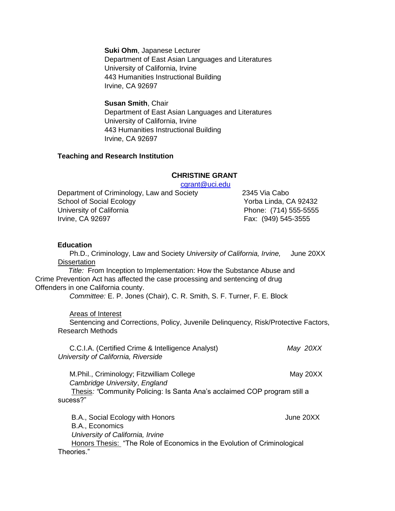**Suki Ohm**, Japanese Lecturer Department of East Asian Languages and Literatures University of California, Irvine 443 Humanities Instructional Building Irvine, CA 92697

**Susan Smith**, Chair Department of East Asian Languages and Literatures University of California, Irvine 443 Humanities Instructional Building Irvine, CA 92697

### **Teaching and Research Institution**

### **CHRISTINE GRANT**

cgrant@uci.edu

Department of Criminology, Law and Society 2345 Via Cabo School of Social Ecology **Xocial Ecology** Xorba Linda, CA 92432 University of California **Phone: (714) 555-5555** Irvine, CA 92697 **Fax: (949) 545-3555** 

### **Education**

 Ph.D., Criminology, Law and Society *University of California, Irvine,* June 20XX **Dissertation** 

 *Title:* From Inception to Implementation: How the Substance Abuse and Crime Prevention Act has affected the case processing and sentencing of drug Offenders in one California county.

 *Committee:* E. P. Jones (Chair), C. R. Smith, S. F. Turner, F. E. Block

Areas of Interest

 Sentencing and Corrections, Policy, Juvenile Delinquency, Risk/Protective Factors, Research Methods

 C.C.I.A. (Certified Crime & Intelligence Analyst) *May 20XX University of California, Riverside* 

M.Phil., Criminology; Fitzwilliam College May 20XX *Cambridge University*, *England*  Thesis*: "*Community Policing: Is Santa Ana's acclaimed COP program still a sucess?"

B.A., Social Ecology with Honors **Container 1988** Superson Mune 20XX B.A., Economics *University of California, Irvine* Honors Thesis: "The Role of Economics in the Evolution of Criminological Theories."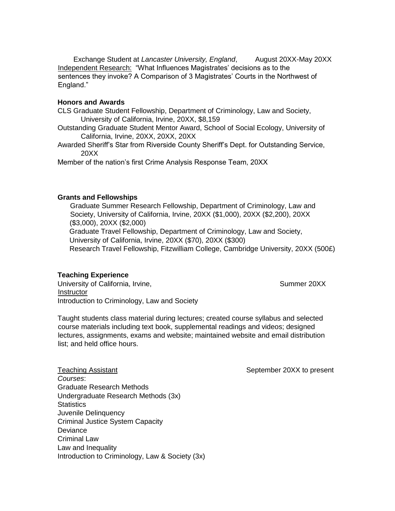Exchange Student at *Lancaster University, England*, August 20XX-May 20XX Independent Research: "What Influences Magistrates' decisions as to the sentences they invoke? A Comparison of 3 Magistrates' Courts in the Northwest of England."

### **Honors and Awards**

CLS Graduate Student Fellowship, Department of Criminology, Law and Society, University of California, Irvine, 20XX, \$8,159

- Outstanding Graduate Student Mentor Award, School of Social Ecology, University of California, Irvine, 20XX, 20XX, 20XX
- Awarded Sheriff's Star from Riverside County Sheriff's Dept. for Outstanding Service, 20XX

Member of the nation's first Crime Analysis Response Team, 20XX

### **Grants and Fellowships**

 Graduate Summer Research Fellowship, Department of Criminology, Law and Society, University of California, Irvine, 20XX (\$1,000), 20XX (\$2,200), 20XX (\$3,000), 20XX (\$2,000) Graduate Travel Fellowship, Department of Criminology, Law and Society, University of California, Irvine, 20XX (\$70), 20XX (\$300) Research Travel Fellowship, Fitzwilliam College, Cambridge University, 20XX (500£)

### **Teaching Experience**

University of California, Irvine, Summer 20XX **Instructor** Introduction to Criminology, Law and Society

Taught students class material during lectures; created course syllabus and selected course materials including text book, supplemental readings and videos; designed lectures, assignments, exams and website; maintained website and email distribution list; and held office hours.

Teaching Assistant Teaching Assistant September 20XX to present *Courses*: Graduate Research Methods Undergraduate Research Methods (3x) **Statistics** Juvenile Delinquency Criminal Justice System Capacity **Deviance** Criminal Law Law and Inequality Introduction to Criminology, Law & Society (3x)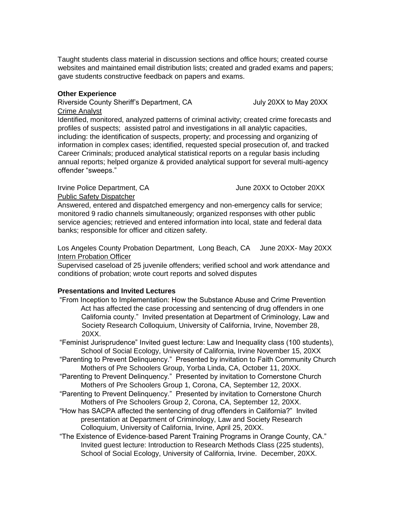Taught students class material in discussion sections and office hours; created course websites and maintained email distribution lists; created and graded exams and papers; gave students constructive feedback on papers and exams.

### **Other Experience**

### Riverside County Sheriff's Department, CA  $\qquad \qquad$  July 20XX to May 20XX Crime Analyst

Identified, monitored, analyzed patterns of criminal activity; created crime forecasts and profiles of suspects; assisted patrol and investigations in all analytic capacities, including: the identification of suspects, property; and processing and organizing of information in complex cases; identified, requested special prosecution of, and tracked Career Criminals; produced analytical statistical reports on a regular basis including annual reports; helped organize & provided analytical support for several multi-agency offender "sweeps."

### Irvine Police Department, CA June 20XX to October 20XX Public Safety Dispatcher

Answered, entered and dispatched emergency and non-emergency calls for service; monitored 9 radio channels simultaneously; organized responses with other public service agencies; retrieved and entered information into local, state and federal data

banks; responsible for officer and citizen safety.

Los Angeles County Probation Department, Long Beach, CA June 20XX- May 20XX Intern Probation Officer

Supervised caseload of 25 juvenile offenders; verified school and work attendance and conditions of probation; wrote court reports and solved disputes

### **Presentations and Invited Lectures**

"From Inception to Implementation: How the Substance Abuse and Crime Prevention Act has affected the case processing and sentencing of drug offenders in one California county." Invited presentation at Department of Criminology, Law and Society Research Colloquium, University of California, Irvine, November 28, 20XX.

"Feminist Jurisprudence" Invited guest lecture: Law and Inequality class (100 students), School of Social Ecology, University of California, Irvine November 15, 20XX

"Parenting to Prevent Delinquency." Presented by invitation to Faith Community Church Mothers of Pre Schoolers Group, Yorba Linda, CA, October 11, 20XX.

- "Parenting to Prevent Delinquency." Presented by invitation to Cornerstone Church Mothers of Pre Schoolers Group 1, Corona, CA, September 12, 20XX.
- "Parenting to Prevent Delinquency." Presented by invitation to Cornerstone Church Mothers of Pre Schoolers Group 2, Corona, CA, September 12, 20XX.
- "How has SACPA affected the sentencing of drug offenders in California?" Invited presentation at Department of Criminology, Law and Society Research Colloquium, University of California, Irvine, April 25, 20XX.
- "The Existence of Evidence-based Parent Training Programs in Orange County, CA." Invited guest lecture: Introduction to Research Methods Class (225 students), School of Social Ecology, University of California, Irvine. December, 20XX.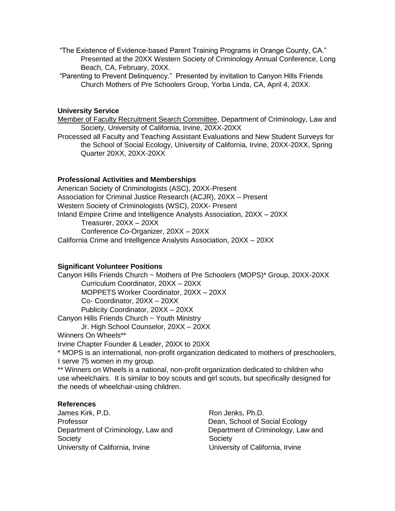- "The Existence of Evidence-based Parent Training Programs in Orange County, CA." Presented at the 20XX Western Society of Criminology Annual Conference, Long Beach, CA, February, 20XX.
- "Parenting to Prevent Delinquency." Presented by invitation to Canyon Hills Friends Church Mothers of Pre Schoolers Group, Yorba Linda, CA, April 4, 20XX.

### **University Service**

Member of Faculty Recruitment Search Committee, Department of Criminology, Law and Society, University of California, Irvine, 20XX-20XX

Processed all Faculty and Teaching Assistant Evaluations and New Student Surveys for the School of Social Ecology, University of California, Irvine, 20XX-20XX, Spring Quarter 20XX, 20XX-20XX

### **Professional Activities and Memberships**

American Society of Criminologists (ASC), 20XX-Present Association for Criminal Justice Research (ACJR), 20XX – Present Western Society of Criminologists (WSC), 20XX- Present Inland Empire Crime and Intelligence Analysts Association, 20XX – 20XX Treasurer, 20XX – 20XX Conference Co-Organizer, 20XX – 20XX California Crime and Intelligence Analysts Association, 20XX – 20XX

### **Significant Volunteer Positions**

Canyon Hills Friends Church ~ Mothers of Pre Schoolers (MOPS)\* Group, 20XX-20XX Curriculum Coordinator, 20XX – 20XX MOPPETS Worker Coordinator, 20XX – 20XX Co- Coordinator, 20XX – 20XX Publicity Coordinator, 20XX – 20XX Canyon Hills Friends Church ~ Youth Ministry Jr. High School Counselor, 20XX – 20XX Winners On Wheels\*\* Irvine Chapter Founder & Leader, 20XX to 20XX

\* MOPS is an international, non-profit organization dedicated to mothers of preschoolers, I serve 75 women in my group.

\*\* Winners on Wheels is a national, non-profit organization dedicated to children who use wheelchairs. It is similar to boy scouts and girl scouts, but specifically designed for the needs of wheelchair-using children.

### **References**

James Kirk, P.D. **Roman American** Ron Jenks, Ph.D. Professor **Dean, School of Social Ecology** Department of Criminology, Law and Department of Criminology, Law and Society **Society** Society University of California, Irvine University of California, Irvine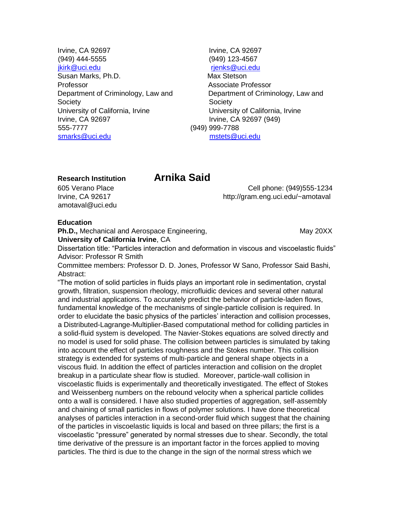- Irvine, CA 92697 Irvine, CA 92697 (949) 444-5555 (949) 123-4567 jkirk@uci.edu rjenks@uci.edu Susan Marks, Ph.D. Max Stetson Professor **Associate Professor** Department of Criminology, Law and Department of Criminology, Law and Society **Society** Society University of California, Irvine University of California, Irvine Irvine, CA 92697 Irvine, CA 92697 (949) 555-7777 (949) 999-7788 smarks@uci.edu mstets@uci.edu
- 

### **Research Institution Arnika Said**

amotaval@uci.edu

605 Verano Place Cell phone: (949)555-1234 Irvine, CA 92617 http://gram.eng.uci.edu/~amotaval

### **Education**

**Ph.D., Mechanical and Aerospace Engineering, May 20XX** May 20XX

**University of California Irvine**, CA

Dissertation title: "Particles interaction and deformation in viscous and viscoelastic fluids" Advisor: Professor R Smith

Committee members: Professor D. D. Jones, Professor W Sano, Professor Said Bashi, Abstract:

"The motion of solid particles in fluids plays an important role in sedimentation, crystal growth, filtration, suspension rheology, microfluidic devices and several other natural and industrial applications. To accurately predict the behavior of particle-laden flows, fundamental knowledge of the mechanisms of single-particle collision is required. In order to elucidate the basic physics of the particles' interaction and collision processes, a Distributed-Lagrange-Multiplier-Based computational method for colliding particles in a solid-fluid system is developed. The Navier-Stokes equations are solved directly and no model is used for solid phase. The collision between particles is simulated by taking into account the effect of particles roughness and the Stokes number. This collision strategy is extended for systems of multi-particle and general shape objects in a viscous fluid. In addition the effect of particles interaction and collision on the droplet breakup in a particulate shear flow is studied. Moreover, particle-wall collision in viscoelastic fluids is experimentally and theoretically investigated. The effect of Stokes and Weissenberg numbers on the rebound velocity when a spherical particle collides onto a wall is considered. I have also studied properties of aggregation, self-assembly and chaining of small particles in flows of polymer solutions. I have done theoretical analyses of particles interaction in a second-order fluid which suggest that the chaining of the particles in viscoelastic liquids is local and based on three pillars; the first is a viscoelastic "pressure" generated by normal stresses due to shear. Secondly, the total time derivative of the pressure is an important factor in the forces applied to moving particles. The third is due to the change in the sign of the normal stress which we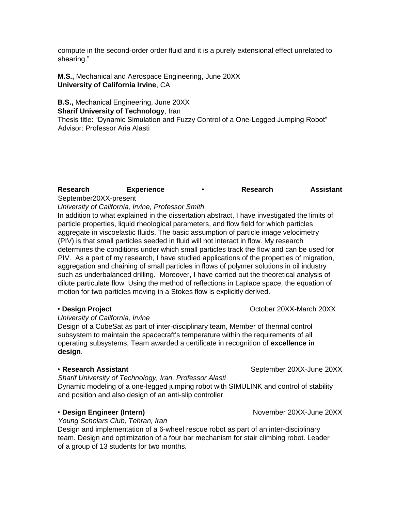compute in the second-order order fluid and it is a purely extensional effect unrelated to shearing."

**M.S.,** Mechanical and Aerospace Engineering, June 20XX **University of California Irvine**, CA

**B.S.,** Mechanical Engineering, June 20XX **Sharif University of Technology**, Iran

Thesis title: "Dynamic Simulation and Fuzzy Control of a One-Legged Jumping Robot" Advisor: Professor Aria Alasti

### **Research Experience** • **Research Assistant**  September20XX-present

*University of California, Irvine, Professor Smith* 

In addition to what explained in the dissertation abstract, I have investigated the limits of particle properties, liquid rheological parameters, and flow field for which particles aggregate in viscoelastic fluids. The basic assumption of particle image velocimetry (PIV) is that small particles seeded in fluid will not interact in flow. My research determines the conditions under which small particles track the flow and can be used for PIV. As a part of my research, I have studied applications of the properties of migration, aggregation and chaining of small particles in flows of polymer solutions in oil industry such as underbalanced drilling. Moreover, I have carried out the theoretical analysis of dilute particulate flow. Using the method of reflections in Laplace space, the equation of motion for two particles moving in a Stokes flow is explicitly derived.

*University of California, Irvine* 

Design of a CubeSat as part of inter-disciplinary team, Member of thermal control subsystem to maintain the spacecraft's temperature within the requirements of all operating subsystems, Team awarded a certificate in recognition of **excellence in design**.

*Sharif University of Technology, Iran, Professor Alasti* 

Dynamic modeling of a one-legged jumping robot with SIMULINK and control of stability and position and also design of an anti-slip controller

### • Design Engineer (Intern) **by Engineer (Intern)** November 20XX-June 20XX

*Young Scholars Club, Tehran, Iran* 

Design and implementation of a 6-wheel rescue robot as part of an inter-disciplinary team. Design and optimization of a four bar mechanism for stair climbing robot. Leader of a group of 13 students for two months.

• **Research Assistant September 20XX-June 20XX** 

• **Design Project Contract in the Second 20XX-March 20XX**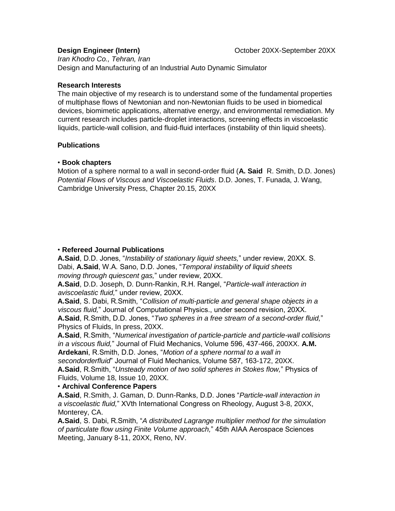*Iran Khodro Co., Tehran, Iran*  Design and Manufacturing of an Industrial Auto Dynamic Simulator

### **Research Interests**

The main objective of my research is to understand some of the fundamental properties of multiphase flows of Newtonian and non-Newtonian fluids to be used in biomedical devices, biomimetic applications, alternative energy, and environmental remediation. My current research includes particle-droplet interactions, screening effects in viscoelastic liquids, particle-wall collision, and fluid-fluid interfaces (instability of thin liquid sheets).

### **Publications**

### • **Book chapters**

Motion of a sphere normal to a wall in second-order fluid (**A. Said** R. Smith, D.D. Jones) *Potential Flows of Viscous and Viscoelastic Fluids*. D.D. Jones, T. Funada, J. Wang, Cambridge University Press, Chapter 20.15, 20XX

### • **Refereed Journal Publications**

**A.Said**, D.D. Jones, "*Instability of stationary liquid sheets,*" under review, 20XX. S. Dabi, **A.Said**, W.A. Sano, D.D. Jones, "*Temporal instability of liquid sheets moving through quiescent gas,*" under review, 20XX.

**A.Said**, D.D. Joseph, D. Dunn-Rankin, R.H. Rangel, "*Particle-wall interaction in aviscoelastic fluid,*" under review, 20XX.

**A.Said**, S. Dabi, R.Smith, "*Collision of multi-particle and general shape objects in a viscous fluid,*" Journal of Computational Physics., under second revision, 20XX. **A.Said**, R.Smith, D.D. Jones, "*Two spheres in a free stream of a second-order fluid,*" Physics of Fluids, In press, 20XX.

**A.Said**, R.Smith, "*Numerical investigation of particle-particle and particle-wall collisions in a viscous fluid,*" Journal of Fluid Mechanics, Volume 596, 437-466, 200XX. **A.M. Ardekani**, R.Smith, D.D. Jones, "*Motion of a sphere normal to a wall in* 

*secondorderfluid*" Journal of Fluid Mechanics, Volume 587, 163-172, 20XX. **A.Said**, R.Smith, "*Unsteady motion of two solid spheres in Stokes flow,*" Physics of Fluids, Volume 18, Issue 10, 20XX.

### • **Archival Conference Papers**

**A.Said**, R.Smith, J. Gaman, D. Dunn-Ranks, D.D. Jones "*Particle-wall interaction in a viscoelastic fluid,*" XVth International Congress on Rheology, August 3-8, 20XX, Monterey, CA.

**A.Said**, S. Dabi, R.Smith, "*A distributed Lagrange multiplier method for the simulation of particulate flow using Finite Volume approach,*" 45th AIAA Aerospace Sciences Meeting, January 8-11, 20XX, Reno, NV.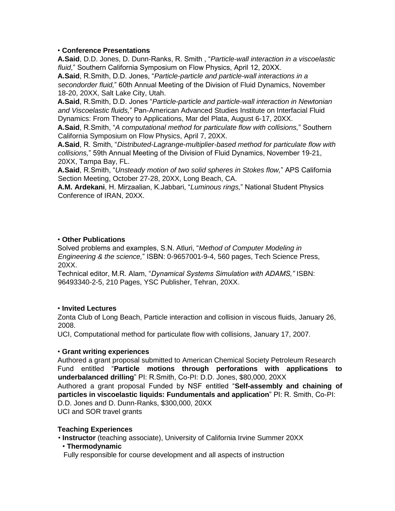### • **Conference Presentations**

**A.Said**, D.D. Jones, D. Dunn-Ranks, R. Smith , "*Particle-wall interaction in a viscoelastic fluid*," Southern California Symposium on Flow Physics, April 12, 20XX.

**A.Said**, R.Smith, D.D. Jones, "*Particle-particle and particle-wall interactions in a secondorder fluid,*" 60th Annual Meeting of the Division of Fluid Dynamics, November 18-20, 20XX, Salt Lake City, Utah.

**A.Said**, R.Smith, D.D. Jones "*Particle-particle and particle-wall interaction in Newtonian and Viscoelastic fluids,*" Pan-American Advanced Studies Institute on Interfacial Fluid Dynamics: From Theory to Applications, Mar del Plata, August 6-17, 20XX.

**A.Said**, R.Smith, "*A computational method for particulate flow with collisions,*" Southern California Symposium on Flow Physics, April 7, 20XX.

**A.Said**, R. Smith, "*Distributed-Lagrange-multiplier-based method for particulate flow with collisions,*" 59th Annual Meeting of the Division of Fluid Dynamics, November 19-21, 20XX, Tampa Bay, FL.

**A.Said**, R.Smith, "*Unsteady motion of two solid spheres in Stokes flow,*" APS California Section Meeting, October 27-28, 20XX, Long Beach, CA.

**A.M. Ardekani**, H. Mirzaalian, K.Jabbari, "*Luminous rings,*" National Student Physics Conference of IRAN, 20XX.

### • **Other Publications**

Solved problems and examples, S.N. Atluri, "*Method of Computer Modeling in Engineering & the science,*" ISBN: 0-9657001-9-4, 560 pages, Tech Science Press, 20XX.

Technical editor, M.R. Alam, "*Dynamical Systems Simulation with ADAMS,"* ISBN: 96493340-2-5, 210 Pages, YSC Publisher, Tehran, 20XX.

### • **Invited Lectures**

Zonta Club of Long Beach, Particle interaction and collision in viscous fluids, January 26, 2008.

UCI, Computational method for particulate flow with collisions, January 17, 2007.

### • **Grant writing experiences**

Authored a grant proposal submitted to American Chemical Society Petroleum Research Fund entitled "**Particle motions through perforations with applications to underbalanced drilling**" PI: R.Smith, Co-PI: D.D. Jones, \$80,000, 20XX Authored a grant proposal Funded by NSF entitled "**Self-assembly and chaining of particles in viscoelastic liquids: Fundumentals and application**" PI: R. Smith, Co-PI: D.D. Jones and D. Dunn-Ranks, \$300,000, 20XX UCI and SOR travel grants

### **Teaching Experiences**

• **Instructor** (teaching associate), University of California Irvine Summer 20XX

• **Thermodynamic** 

Fully responsible for course development and all aspects of instruction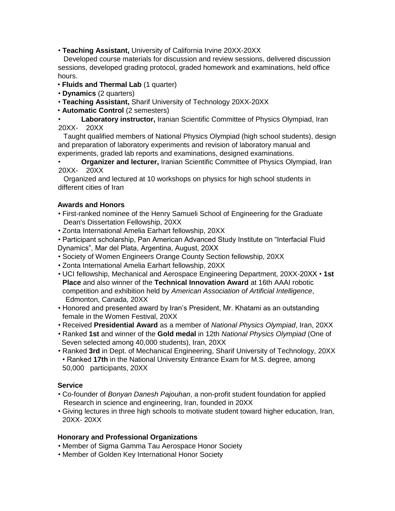• **Teaching Assistant,** University of California Irvine 20XX-20XX

 Developed course materials for discussion and review sessions, delivered discussion sessions, developed grading protocol, graded homework and examinations, held office hours.

- **Fluids and Thermal Lab** (1 quarter)
- **Dynamics** (2 quarters)
- **Teaching Assistant,** Sharif University of Technology 20XX-20XX
- **Automatic Control** (2 semesters)

• **Laboratory instructor,** Iranian Scientific Committee of Physics Olympiad, Iran 20XX- 20XX

 Taught qualified members of National Physics Olympiad (high school students), design and preparation of laboratory experiments and revision of laboratory manual and experiments, graded lab reports and examinations, designed examinations.

• **Organizer and lecturer,** Iranian Scientific Committee of Physics Olympiad, Iran 20XX- 20XX

 Organized and lectured at 10 workshops on physics for high school students in different cities of Iran

### **Awards and Honors**

- First-ranked nominee of the Henry Samueli School of Engineering for the Graduate Dean's Dissertation Fellowship, 20XX
- Zonta International Amelia Earhart fellowship, 20XX

• Participant scholarship, Pan American Advanced Study Institute on "Interfacial Fluid Dynamics", Mar del Plata, Argentina, August, 20XX

- Society of Women Engineers Orange County Section fellowship, 20XX
- Zonta International Amelia Earhart fellowship, 20XX
- UCI fellowship, Mechanical and Aerospace Engineering Department, 20XX-20XX **1st Place** and also winner of the **Technical Innovation Award** at 16th AAAI robotic competition and exhibition held by *American Association of Artificial Intelligence*, Edmonton, Canada, 20XX
- Honored and presented award by Iran's President, Mr. Khatami as an outstanding female in the Women Festival, 20XX
- Received **Presidential Award** as a member of *National Physics Olympiad*, Iran, 20XX
- Ranked **1st** and winner of the **Gold medal** in 12th *National Physics Olympiad* (One of Seven selected among 40,000 students), Iran, 20XX
- Ranked **3rd** in Dept. of Mechanical Engineering, Sharif University of Technology, 20XX • Ranked **17th** in the National University Entrance Exam for M.S. degree, among 50,000 participants, 20XX

### **Service**

- Co-founder of *Bonyan Danesh Pajouhan*, a non-profit student foundation for applied Research in science and engineering, Iran, founded in 20XX
- Giving lectures in three high schools to motivate student toward higher education, Iran, 20XX- 20XX

### **Honorary and Professional Organizations**

- Member of Sigma Gamma Tau Aerospace Honor Society
- Member of Golden Key International Honor Society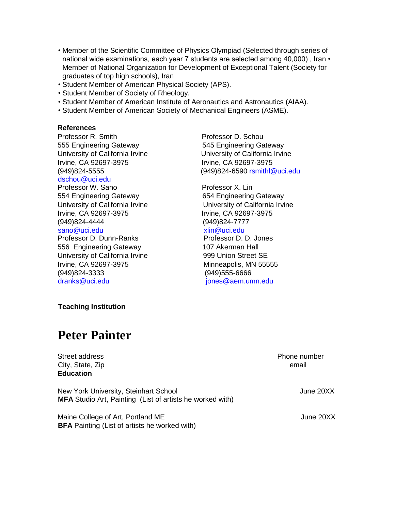- Member of the Scientific Committee of Physics Olympiad (Selected through series of national wide examinations, each year 7 students are selected among 40,000) , Iran • Member of National Organization for Development of Exceptional Talent (Society for graduates of top high schools), Iran
- Student Member of American Physical Society (APS).
- Student Member of Society of Rheology.
- Student Member of American Institute of Aeronautics and Astronautics (AIAA).
- Student Member of American Society of Mechanical Engineers (ASME).

### **References**

Professor R. Smith Professor D. Schou 555 Engineering Gateway 545 Engineering Gateway University of California Irvine University of California Irvine Irvine, CA 92697-3975 Irvine, CA 92697-3975 dschou@uci.edu Professor W. Sano **Professor X. Lin** 554 Engineering Gateway 654 Engineering Gateway University of California Irvine **University of California Irvine** Irvine, CA 92697-3975 Irvine, CA 92697-3975 (949)824-4444 (949)824-7777 sano@uci.edu xlin@uci.edu Professor D. Dunn-Ranks Professor D. D. Jones 556 Engineering Gateway 107 Akerman Hall University of California Irvine 999 Union Street SE

Irvine, CA 92697-3975 Minneapolis, MN 55555 (949)824-3333 (949)555-6666 dranks@uci.edu jones@aem.umn.edu

(949)824-5555 (949)824-6590 rsmithl@uci.edu

**Teaching Institution** 

# **Peter Painter**

Street address Phone number City, State, Zip email **Education** 

New York University, Steinhart School **Communist Communist Communist Communist Communist Communist Communist Communist Communist Communist Communist Communist Communist Communist Communist Communist Communist Communist Com MFA** Studio Art, Painting (List of artists he worked with)

Maine College of Art, Portland ME June 20XX **BFA** Painting (List of artists he worked with)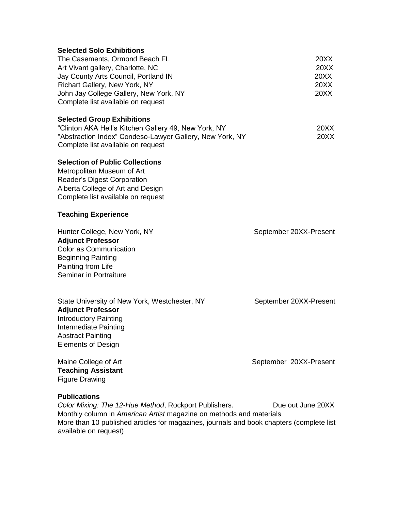| <b>Selected Solo Exhibitions</b><br>The Casements, Ormond Beach FL<br>Art Vivant gallery, Charlotte, NC<br>Jay County Arts Council, Portland IN<br>Richart Gallery, New York, NY<br>John Jay College Gallery, New York, NY<br>Complete list available on request | 20XX<br><b>20XX</b><br><b>20XX</b><br>20XX<br>20XX |
|------------------------------------------------------------------------------------------------------------------------------------------------------------------------------------------------------------------------------------------------------------------|----------------------------------------------------|
| <b>Selected Group Exhibitions</b><br>"Clinton AKA Hell's Kitchen Gallery 49, New York, NY<br>"Abstraction Index" Condeso-Lawyer Gallery, New York, NY<br>Complete list available on request                                                                      | 20XX<br>20XX                                       |
| <b>Selection of Public Collections</b><br>Metropolitan Museum of Art<br>Reader's Digest Corporation<br>Alberta College of Art and Design<br>Complete list available on request                                                                                   |                                                    |
| <b>Teaching Experience</b>                                                                                                                                                                                                                                       |                                                    |
| Hunter College, New York, NY<br><b>Adjunct Professor</b><br>Color as Communication<br><b>Beginning Painting</b><br>Painting from Life<br>Seminar in Portraiture                                                                                                  | September 20XX-Present                             |
| State University of New York, Westchester, NY<br><b>Adjunct Professor</b><br><b>Introductory Painting</b><br>Intermediate Painting<br><b>Abstract Painting</b><br><b>Elements of Design</b>                                                                      | September 20XX-Present                             |
| Maine College of Art<br><b>Teaching Assistant</b><br><b>Figure Drawing</b>                                                                                                                                                                                       | September 20XX-Present                             |
| <b>Publications</b><br>Color Mixing: The 12-Hue Method, Rockport Publishers.                                                                                                                                                                                     | Due out June 20XX                                  |

Monthly column in *American Artist* magazine on methods and materials More than 10 published articles for magazines, journals and book chapters (complete list available on request)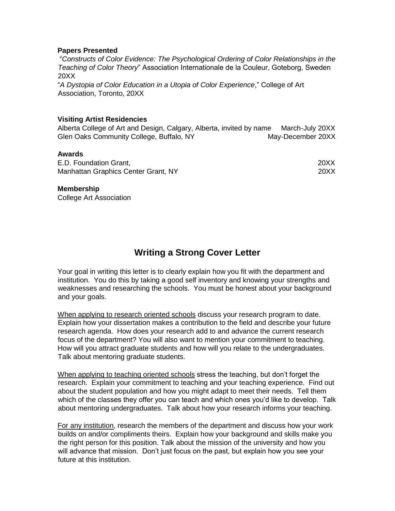### **Papers Presented**

"*Constructs of Color Evidence: The Psychological Ordering of Color Relationships in the Teaching of Color Theory*" Association Internationale de la Couleur, Goteborg, Sweden 20XX

"*A Dystopia of Color Education in a Utopia of Color Experience*," College of Art Association, Toronto, 20XX

### **Visiting Artist Residencies**

Alberta College of Art and Design, Calgary, Alberta, invited by name March-July 20XX Glen Oaks Community College, Buffalo, NY May-December 20XX

### **Awards**

| E.D. Foundation Grant,              | 20XX |
|-------------------------------------|------|
| Manhattan Graphics Center Grant, NY | 20XX |

### **Membership**

College Art Association

## **Writing a Strong Cover Letter**

Your goal in writing this letter is to clearly explain how you fit with the department and institution. You do this by taking a good self inventory and knowing your strengths and weaknesses and researching the schools. You must be honest about your background and your goals.

When applying to research oriented schools discuss your research program to date. Explain how your dissertation makes a contribution to the field and describe your future research agenda. How does your research add to and advance the current research focus of the department? You will also want to mention your commitment to teaching. How will you attract graduate students and how will you relate to the undergraduates. Talk about mentoring graduate students.

When applying to teaching oriented schools stress the teaching, but don't forget the research. Explain your commitment to teaching and your teaching experience. Find out about the student population and how you might adapt to meet their needs. Tell them which of the classes they offer you can teach and which ones you'd like to develop. Talk about mentoring undergraduates. Talk about how your research informs your teaching.

For any institution, research the members of the department and discuss how your work builds on and/or compliments theirs. Explain how your background and skills make you the right person for this position. Talk about the mission of the university and how you will advance that mission. Don't just focus on the past, but explain how you see your future at this institution.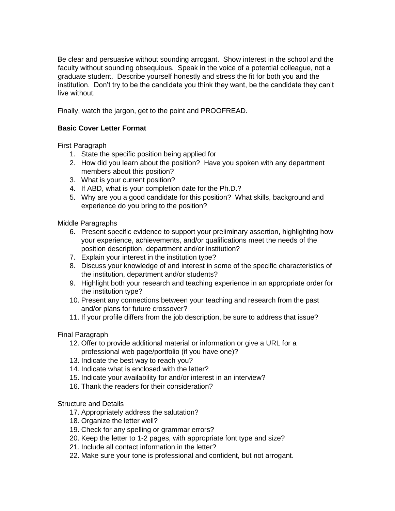Be clear and persuasive without sounding arrogant. Show interest in the school and the faculty without sounding obsequious. Speak in the voice of a potential colleague, not a graduate student. Describe yourself honestly and stress the fit for both you and the institution. Don't try to be the candidate you think they want, be the candidate they can't live without.

Finally, watch the jargon, get to the point and PROOFREAD.

### **Basic Cover Letter Format**

First Paragraph

- 1. State the specific position being applied for
- 2. How did you learn about the position? Have you spoken with any department members about this position?
- 3. What is your current position?
- 4. If ABD, what is your completion date for the Ph.D.?
- 5. Why are you a good candidate for this position? What skills, background and experience do you bring to the position?

Middle Paragraphs

- 6. Present specific evidence to support your preliminary assertion, highlighting how your experience, achievements, and/or qualifications meet the needs of the position description, department and/or institution?
- 7. Explain your interest in the institution type?
- 8. Discuss your knowledge of and interest in some of the specific characteristics of the institution, department and/or students?
- 9. Highlight both your research and teaching experience in an appropriate order for the institution type?
- 10. Present any connections between your teaching and research from the past and/or plans for future crossover?
- 11. If your profile differs from the job description, be sure to address that issue?

Final Paragraph

- 12. Offer to provide additional material or information or give a URL for a professional web page/portfolio (if you have one)?
- 13. Indicate the best way to reach you?
- 14. Indicate what is enclosed with the letter?
- 15. Indicate your availability for and/or interest in an interview?
- 16. Thank the readers for their consideration?

Structure and Details

- 17. Appropriately address the salutation?
- 18. Organize the letter well?
- 19. Check for any spelling or grammar errors?
- 20. Keep the letter to 1-2 pages, with appropriate font type and size?
- 21. Include all contact information in the letter?
- 22. Make sure your tone is professional and confident, but not arrogant.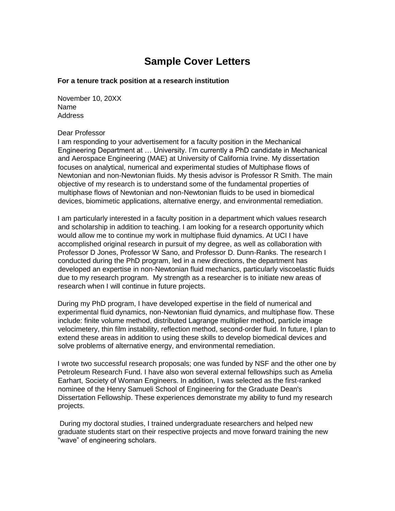# **Sample Cover Letters**

### **For a tenure track position at a research institution**

November 10, 20XX Name Address

### Dear Professor

I am responding to your advertisement for a faculty position in the Mechanical Engineering Department at … University. I'm currently a PhD candidate in Mechanical and Aerospace Engineering (MAE) at University of California Irvine. My dissertation focuses on analytical, numerical and experimental studies of Multiphase flows of Newtonian and non-Newtonian fluids. My thesis advisor is Professor R Smith. The main objective of my research is to understand some of the fundamental properties of multiphase flows of Newtonian and non-Newtonian fluids to be used in biomedical devices, biomimetic applications, alternative energy, and environmental remediation.

I am particularly interested in a faculty position in a department which values research and scholarship in addition to teaching. I am looking for a research opportunity which would allow me to continue my work in multiphase fluid dynamics. At UCI I have accomplished original research in pursuit of my degree, as well as collaboration with Professor D Jones, Professor W Sano, and Professor D. Dunn-Ranks. The research I conducted during the PhD program, led in a new directions, the department has developed an expertise in non-Newtonian fluid mechanics, particularly viscoelastic fluids due to my research program. My strength as a researcher is to initiate new areas of research when I will continue in future projects.

During my PhD program, I have developed expertise in the field of numerical and experimental fluid dynamics, non-Newtonian fluid dynamics, and multiphase flow. These include: finite volume method, distributed Lagrange multiplier method, particle image velocimetery, thin film instability, reflection method, second-order fluid. In future, I plan to extend these areas in addition to using these skills to develop biomedical devices and solve problems of alternative energy, and environmental remediation.

I wrote two successful research proposals; one was funded by NSF and the other one by Petroleum Research Fund. I have also won several external fellowships such as Amelia Earhart, Society of Woman Engineers. In addition, I was selected as the first-ranked nominee of the Henry Samueli School of Engineering for the Graduate Dean's Dissertation Fellowship. These experiences demonstrate my ability to fund my research projects.

During my doctoral studies, I trained undergraduate researchers and helped new graduate students start on their respective projects and move forward training the new "wave" of engineering scholars.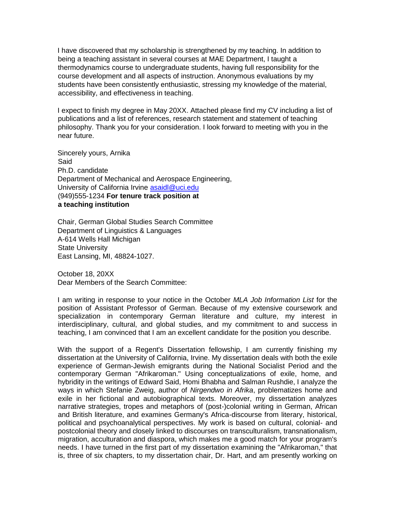I have discovered that my scholarship is strengthened by my teaching. In addition to being a teaching assistant in several courses at MAE Department, I taught a thermodynamics course to undergraduate students, having full responsibility for the course development and all aspects of instruction. Anonymous evaluations by my students have been consistently enthusiastic, stressing my knowledge of the material, accessibility, and effectiveness in teaching.

I expect to finish my degree in May 20XX. Attached please find my CV including a list of publications and a list of references, research statement and statement of teaching philosophy. Thank you for your consideration. I look forward to meeting with you in the near future.

Sincerely yours, Arnika Said Ph.D. candidate Department of Mechanical and Aerospace Engineering, University of California Irvine asaidl@uci.edu (949)555-1234 **For tenure track position at a teaching institution** 

Chair, German Global Studies Search Committee Department of Linguistics & Languages A-614 Wells Hall Michigan State University East Lansing, MI, 48824-1027.

October 18, 20XX Dear Members of the Search Committee:

I am writing in response to your notice in the October *MLA Job Information List* for the position of Assistant Professor of German. Because of my extensive coursework and specialization in contemporary German literature and culture, my interest in interdisciplinary, cultural, and global studies, and my commitment to and success in teaching, I am convinced that I am an excellent candidate for the position you describe.

With the support of a Regent's Dissertation fellowship, I am currently finishing my dissertation at the University of California, Irvine. My dissertation deals with both the exile experience of German-Jewish emigrants during the National Socialist Period and the contemporary German "Afrikaroman." Using conceptualizations of exile, home, and hybridity in the writings of Edward Said, Homi Bhabha and Salman Rushdie, I analyze the ways in which Stefanie Zweig, author of *Nirgendwo in Afrika*, problematizes home and exile in her fictional and autobiographical texts. Moreover, my dissertation analyzes narrative strategies, tropes and metaphors of (post-)colonial writing in German, African and British literature, and examines Germany's Africa-discourse from literary, historical, political and psychoanalytical perspectives. My work is based on cultural, colonial- and postcolonial theory and closely linked to discourses on transculturalism, transnationalism, migration, acculturation and diaspora, which makes me a good match for your program's needs. I have turned in the first part of my dissertation examining the "Afrikaroman," that is, three of six chapters, to my dissertation chair, Dr. Hart, and am presently working on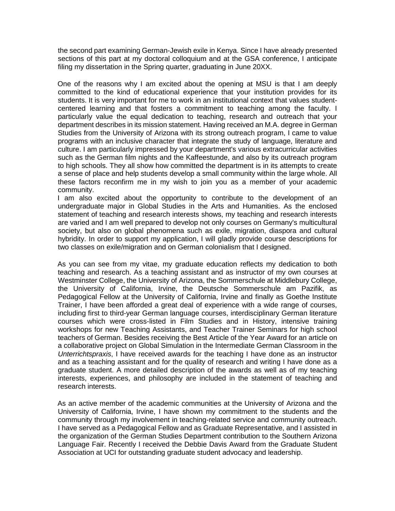the second part examining German-Jewish exile in Kenya. Since I have already presented sections of this part at my doctoral colloquium and at the GSA conference, I anticipate filing my dissertation in the Spring quarter, graduating in June 20XX.

One of the reasons why I am excited about the opening at MSU is that I am deeply committed to the kind of educational experience that your institution provides for its students. It is very important for me to work in an institutional context that values studentcentered learning and that fosters a commitment to teaching among the faculty. I particularly value the equal dedication to teaching, research and outreach that your department describes in its mission statement. Having received an M.A. degree in German Studies from the University of Arizona with its strong outreach program, I came to value programs with an inclusive character that integrate the study of language, literature and culture. I am particularly impressed by your department's various extracurricular activities such as the German film nights and the Kaffeestunde, and also by its outreach program to high schools. They all show how committed the department is in its attempts to create a sense of place and help students develop a small community within the large whole. All these factors reconfirm me in my wish to join you as a member of your academic community.

I am also excited about the opportunity to contribute to the development of an undergraduate major in Global Studies in the Arts and Humanities. As the enclosed statement of teaching and research interests shows, my teaching and research interests are varied and I am well prepared to develop not only courses on Germany's multicultural society, but also on global phenomena such as exile, migration, diaspora and cultural hybridity. In order to support my application, I will gladly provide course descriptions for two classes on exile/migration and on German colonialism that I designed.

As you can see from my vitae, my graduate education reflects my dedication to both teaching and research. As a teaching assistant and as instructor of my own courses at Westminster College, the University of Arizona, the Sommerschule at Middlebury College, the University of California, Irvine, the Deutsche Sommerschule am Pazifik, as Pedagogical Fellow at the University of California, Irvine and finally as Goethe Institute Trainer, I have been afforded a great deal of experience with a wide range of courses, including first to third-year German language courses, interdisciplinary German literature courses which were cross-listed in Film Studies and in History, intensive training workshops for new Teaching Assistants, and Teacher Trainer Seminars for high school teachers of German. Besides receiving the Best Article of the Year Award for an article on a collaborative project on Global Simulation in the Intermediate German Classroom in the *Unterrichtspraxis*, I have received awards for the teaching I have done as an instructor and as a teaching assistant and for the quality of research and writing I have done as a graduate student. A more detailed description of the awards as well as of my teaching interests, experiences, and philosophy are included in the statement of teaching and research interests.

As an active member of the academic communities at the University of Arizona and the University of California, Irvine, I have shown my commitment to the students and the community through my involvement in teaching-related service and community outreach. I have served as a Pedagogical Fellow and as Graduate Representative, and I assisted in the organization of the German Studies Department contribution to the Southern Arizona Language Fair. Recently I received the Debbie Davis Award from the Graduate Student Association at UCI for outstanding graduate student advocacy and leadership.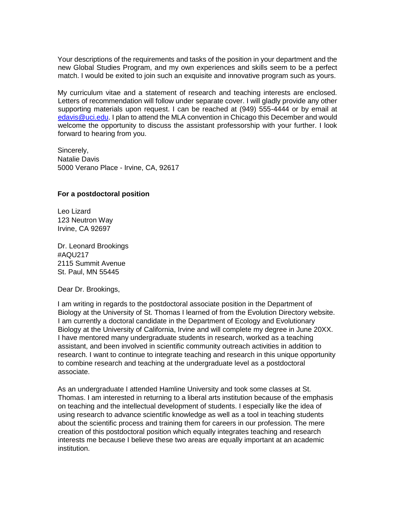Your descriptions of the requirements and tasks of the position in your department and the new Global Studies Program, and my own experiences and skills seem to be a perfect match. I would be exited to join such an exquisite and innovative program such as yours.

My curriculum vitae and a statement of research and teaching interests are enclosed. Letters of recommendation will follow under separate cover. I will gladly provide any other supporting materials upon request. I can be reached at (949) 555-4444 or by email at edavis@uci.edu. I plan to attend the MLA convention in Chicago this December and would welcome the opportunity to discuss the assistant professorship with your further. I look forward to hearing from you.

Sincerely, Natalie Davis 5000 Verano Place - Irvine, CA, 92617

### **For a postdoctoral position**

Leo Lizard 123 Neutron Way Irvine, CA 92697

Dr. Leonard Brookings #AQU217 2115 Summit Avenue St. Paul, MN 55445

Dear Dr. Brookings,

I am writing in regards to the postdoctoral associate position in the Department of Biology at the University of St. Thomas I learned of from the Evolution Directory website. I am currently a doctoral candidate in the Department of Ecology and Evolutionary Biology at the University of California, Irvine and will complete my degree in June 20XX. I have mentored many undergraduate students in research, worked as a teaching assistant, and been involved in scientific community outreach activities in addition to research. I want to continue to integrate teaching and research in this unique opportunity to combine research and teaching at the undergraduate level as a postdoctoral associate.

As an undergraduate I attended Hamline University and took some classes at St. Thomas. I am interested in returning to a liberal arts institution because of the emphasis on teaching and the intellectual development of students. I especially like the idea of using research to advance scientific knowledge as well as a tool in teaching students about the scientific process and training them for careers in our profession. The mere creation of this postdoctoral position which equally integrates teaching and research interests me because I believe these two areas are equally important at an academic institution.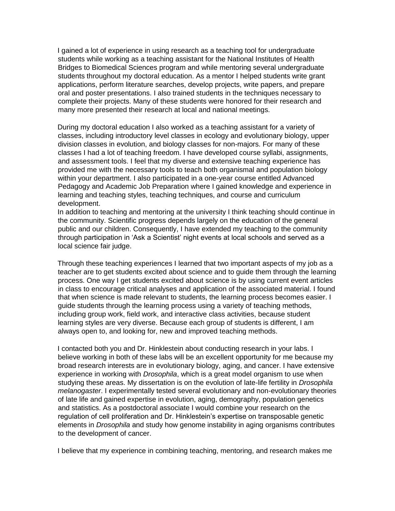I gained a lot of experience in using research as a teaching tool for undergraduate students while working as a teaching assistant for the National Institutes of Health Bridges to Biomedical Sciences program and while mentoring several undergraduate students throughout my doctoral education. As a mentor I helped students write grant applications, perform literature searches, develop projects, write papers, and prepare oral and poster presentations. I also trained students in the techniques necessary to complete their projects. Many of these students were honored for their research and many more presented their research at local and national meetings.

During my doctoral education I also worked as a teaching assistant for a variety of classes, including introductory level classes in ecology and evolutionary biology, upper division classes in evolution, and biology classes for non-majors. For many of these classes I had a lot of teaching freedom. I have developed course syllabi, assignments, and assessment tools. I feel that my diverse and extensive teaching experience has provided me with the necessary tools to teach both organismal and population biology within your department. I also participated in a one-year course entitled Advanced Pedagogy and Academic Job Preparation where I gained knowledge and experience in learning and teaching styles, teaching techniques, and course and curriculum development.

In addition to teaching and mentoring at the university I think teaching should continue in the community. Scientific progress depends largely on the education of the general public and our children. Consequently, I have extended my teaching to the community through participation in 'Ask a Scientist' night events at local schools and served as a local science fair judge.

Through these teaching experiences I learned that two important aspects of my job as a teacher are to get students excited about science and to guide them through the learning process. One way I get students excited about science is by using current event articles in class to encourage critical analyses and application of the associated material. I found that when science is made relevant to students, the learning process becomes easier. I guide students through the learning process using a variety of teaching methods, including group work, field work, and interactive class activities, because student learning styles are very diverse. Because each group of students is different, I am always open to, and looking for, new and improved teaching methods.

I contacted both you and Dr. Hinklestein about conducting research in your labs. I believe working in both of these labs will be an excellent opportunity for me because my broad research interests are in evolutionary biology, aging, and cancer. I have extensive experience in working with *Drosophila*, which is a great model organism to use when studying these areas. My dissertation is on the evolution of late-life fertility in *Drosophila melanogaster*. I experimentally tested several evolutionary and non-evolutionary theories of late life and gained expertise in evolution, aging, demography, population genetics and statistics. As a postdoctoral associate I would combine your research on the regulation of cell proliferation and Dr. Hinklestein's expertise on transposable genetic elements in *Drosophila* and study how genome instability in aging organisms contributes to the development of cancer.

I believe that my experience in combining teaching, mentoring, and research makes me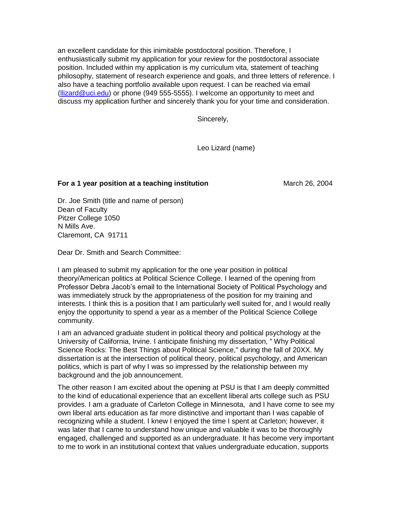an excellent candidate for this inimitable postdoctoral position. Therefore, I enthusiastically submit my application for your review for the postdoctoral associate position. Included within my application is my curriculum vita, statement of teaching philosophy, statement of research experience and goals, and three letters of reference. I also have a teaching portfolio available upon request. I can be reached via email (llizard@uci.edu) or phone (949 555-5555). I welcome an opportunity to meet and discuss my application further and sincerely thank you for your time and consideration.

Sincerely,

Leo Lizard (name)

### **For a 1 year position at a teaching institution March 26, 2004** March 26, 2004

Dr. Joe Smith (title and name of person) Dean of Faculty Pitzer College 1050 N Mills Ave. Claremont, CA 91711

Dear Dr. Smith and Search Committee:

I am pleased to submit my application for the one year position in political theory/American politics at Political Science College. I learned of the opening from Professor Debra Jacob's email to the International Society of Political Psychology and was immediately struck by the appropriateness of the position for my training and interests. I think this is a position that I am particularly well suited for, and I would really enjoy the opportunity to spend a year as a member of the Political Science College community.

I am an advanced graduate student in political theory and political psychology at the University of California, Irvine. I anticipate finishing my dissertation, " Why Political Science Rocks: The Best Things about Political Science," during the fall of 20XX. My dissertation is at the intersection of political theory, political psychology, and American politics, which is part of why I was so impressed by the relationship between my background and the job announcement.

The other reason I am excited about the opening at PSU is that I am deeply committed to the kind of educational experience that an excellent liberal arts college such as PSU provides. I am a graduate of Carleton College in Minnesota, and I have come to see my own liberal arts education as far more distinctive and important than I was capable of recognizing while a student. I knew I enjoyed the time I spent at Carleton; however, it was later that I came to understand how unique and valuable it was to be thoroughly engaged, challenged and supported as an undergraduate. It has become very important to me to work in an institutional context that values undergraduate education, supports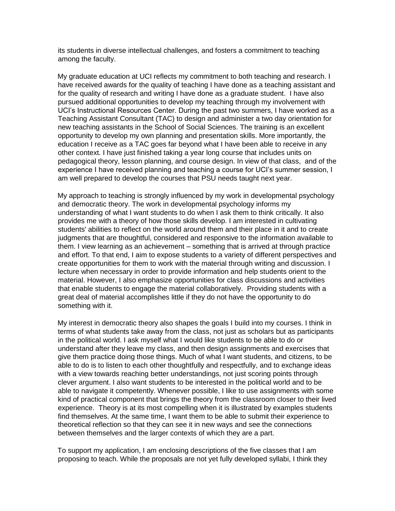its students in diverse intellectual challenges, and fosters a commitment to teaching among the faculty.

My graduate education at UCI reflects my commitment to both teaching and research. I have received awards for the quality of teaching I have done as a teaching assistant and for the quality of research and writing I have done as a graduate student. I have also pursued additional opportunities to develop my teaching through my involvement with UCI's Instructional Resources Center. During the past two summers, I have worked as a Teaching Assistant Consultant (TAC) to design and administer a two day orientation for new teaching assistants in the School of Social Sciences. The training is an excellent opportunity to develop my own planning and presentation skills. More importantly, the education I receive as a TAC goes far beyond what I have been able to receive in any other context. I have just finished taking a year long course that includes units on pedagogical theory, lesson planning, and course design. In view of that class, and of the experience I have received planning and teaching a course for UCI's summer session, I am well prepared to develop the courses that PSU needs taught next year.

My approach to teaching is strongly influenced by my work in developmental psychology and democratic theory. The work in developmental psychology informs my understanding of what I want students to do when I ask them to think critically. It also provides me with a theory of how those skills develop. I am interested in cultivating students' abilities to reflect on the world around them and their place in it and to create judgments that are thoughtful, considered and responsive to the information available to them. I view learning as an achievement – something that is arrived at through practice and effort. To that end, I aim to expose students to a variety of different perspectives and create opportunities for them to work with the material through writing and discussion. I lecture when necessary in order to provide information and help students orient to the material. However, I also emphasize opportunities for class discussions and activities that enable students to engage the material collaboratively. Providing students with a great deal of material accomplishes little if they do not have the opportunity to do something with it.

My interest in democratic theory also shapes the goals I build into my courses. I think in terms of what students take away from the class, not just as scholars but as participants in the political world. I ask myself what I would like students to be able to do or understand after they leave my class, and then design assignments and exercises that give them practice doing those things. Much of what I want students, and citizens, to be able to do is to listen to each other thoughtfully and respectfully, and to exchange ideas with a view towards reaching better understandings, not just scoring points through clever argument. I also want students to be interested in the political world and to be able to navigate it competently. Whenever possible, I like to use assignments with some kind of practical component that brings the theory from the classroom closer to their lived experience. Theory is at its most compelling when it is illustrated by examples students find themselves. At the same time, I want them to be able to submit their experience to theoretical reflection so that they can see it in new ways and see the connections between themselves and the larger contexts of which they are a part.

To support my application, I am enclosing descriptions of the five classes that I am proposing to teach. While the proposals are not yet fully developed syllabi, I think they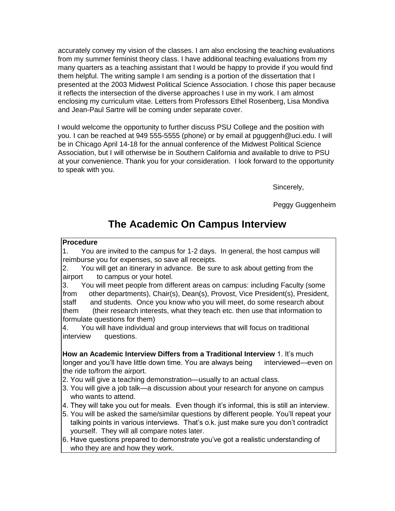accurately convey my vision of the classes. I am also enclosing the teaching evaluations from my summer feminist theory class. I have additional teaching evaluations from my many quarters as a teaching assistant that I would be happy to provide if you would find them helpful. The writing sample I am sending is a portion of the dissertation that I presented at the 2003 Midwest Political Science Association. I chose this paper because it reflects the intersection of the diverse approaches I use in my work. I am almost enclosing my curriculum vitae. Letters from Professors Ethel Rosenberg, Lisa Mondiva and Jean-Paul Sartre will be coming under separate cover.

I would welcome the opportunity to further discuss PSU College and the position with you. I can be reached at 949 555-5555 (phone) or by email at pguggenh@uci.edu. I will be in Chicago April 14-18 for the annual conference of the Midwest Political Science Association, but I will otherwise be in Southern California and available to drive to PSU at your convenience. Thank you for your consideration. I look forward to the opportunity to speak with you.

Sincerely,

Peggy Guggenheim

# **The Academic On Campus Interview**

### **Procedure**

1. You are invited to the campus for 1-2 days. In general, the host campus will reimburse you for expenses, so save all receipts.

2. You will get an itinerary in advance. Be sure to ask about getting from the airport to campus or your hotel.

3. You will meet people from different areas on campus: including Faculty (some from other departments), Chair(s), Dean(s), Provost, Vice President(s), President, staff and students. Once you know who you will meet, do some research about them (their research interests, what they teach etc. then use that information to formulate questions for them)

4. You will have individual and group interviews that will focus on traditional interview questions.

**How an Academic Interview Differs from a Traditional Interview** 1. It's much longer and you'll have little down time. You are always being interviewed—even on the ride to/from the airport.

2. You will give a teaching demonstration—usually to an actual class.

- 3. You will give a job talk—a discussion about your research for anyone on campus who wants to attend.
- 4. They will take you out for meals. Even though it's informal, this is still an interview.
- 5. You will be asked the same/similar questions by different people. You'll repeat your talking points in various interviews. That's o.k. just make sure you don't contradict yourself. They will all compare notes later.
- 6. Have questions prepared to demonstrate you've got a realistic understanding of who they are and how they work.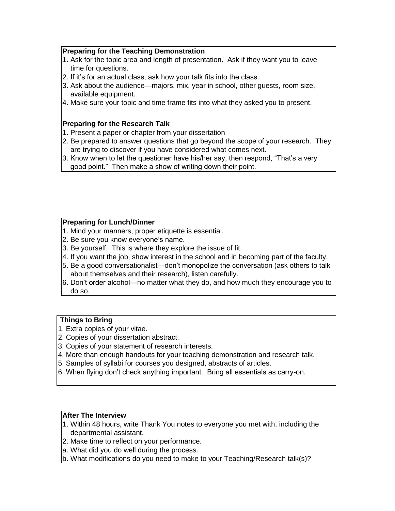### **Preparing for the Teaching Demonstration**

- 1. Ask for the topic area and length of presentation. Ask if they want you to leave time for questions.
- 2. If it's for an actual class, ask how your talk fits into the class.
- 3. Ask about the audience—majors, mix, year in school, other guests, room size, available equipment.
- 4. Make sure your topic and time frame fits into what they asked you to present.

### **Preparing for the Research Talk**

- 1. Present a paper or chapter from your dissertation
- 2. Be prepared to answer questions that go beyond the scope of your research. They are trying to discover if you have considered what comes next.
- 3. Know when to let the questioner have his/her say, then respond, "That's a very good point." Then make a show of writing down their point.

### **Preparing for Lunch/Dinner**

- 1. Mind your manners; proper etiquette is essential.
- 2. Be sure you know everyone's name.
- 3. Be yourself. This is where they explore the issue of fit.
- 4. If you want the job, show interest in the school and in becoming part of the faculty.
- 5. Be a good conversationalist—don't monopolize the conversation (ask others to talk about themselves and their research), listen carefully.
- 6. Don't order alcohol—no matter what they do, and how much they encourage you to do so.

### **Things to Bring**

- 1. Extra copies of your vitae.
- 2. Copies of your dissertation abstract.
- 3. Copies of your statement of research interests.
- 4. More than enough handouts for your teaching demonstration and research talk.
- 5. Samples of syllabi for courses you designed, abstracts of articles.
- 6. When flying don't check anything important. Bring all essentials as carry-on.

### **After The Interview**

- 1. Within 48 hours, write Thank You notes to everyone you met with, including the departmental assistant.
- 2. Make time to reflect on your performance.
- a. What did you do well during the process.
- b. What modifications do you need to make to your Teaching/Research talk(s)?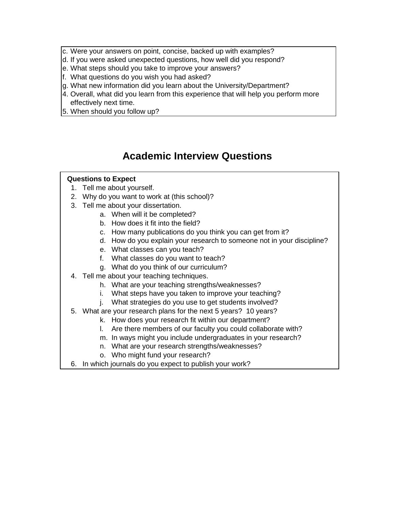- c. Were your answers on point, concise, backed up with examples?
- d. If you were asked unexpected questions, how well did you respond?
- e. What steps should you take to improve your answers?
- f. What questions do you wish you had asked?
- g. What new information did you learn about the University/Department?
- 4. Overall, what did you learn from this experience that will help you perform more effectively next time.
- 5. When should you follow up?

# **Academic Interview Questions**

### **Questions to Expect**

- 1. Tell me about yourself.
- 2. Why do you want to work at (this school)?
- 3. Tell me about your dissertation.
	- a. When will it be completed?
	- b. How does it fit into the field?
	- c. How many publications do you think you can get from it?
	- d. How do you explain your research to someone not in your discipline?
	- e. What classes can you teach?
	- f. What classes do you want to teach?
	- g. What do you think of our curriculum?
- 4. Tell me about your teaching techniques.
	- h. What are your teaching strengths/weaknesses?
	- i. What steps have you taken to improve your teaching?
	- j. What strategies do you use to get students involved?
- 5. What are your research plans for the next 5 years? 10 years?
	- k. How does your research fit within our department?
	- l. Are there members of our faculty you could collaborate with?
	- m. In ways might you include undergraduates in your research?
	- n. What are your research strengths/weaknesses?
	- o. Who might fund your research?
- 6. In which journals do you expect to publish your work?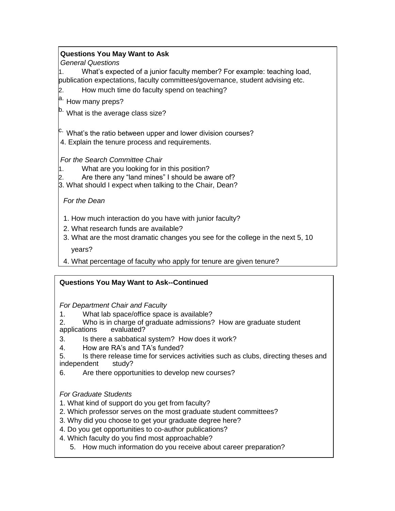### **Questions You May Want to Ask**

*General Questions* 

1. What's expected of a junior faculty member? For example: teaching load, publication expectations, faculty committees/governance, student advising etc.

2. How much time do faculty spend on teaching?

a. How many preps?

<sup>b.</sup> What is the average class size?

<sup>c.</sup> What's the ratio between upper and lower division courses?

4. Explain the tenure process and requirements.

*For the Search Committee Chair* 

1. What are you looking for in this position?

Are there any "land mines" I should be aware of?

3. What should I expect when talking to the Chair, Dean?

### *For the Dean*

- 1. How much interaction do you have with junior faculty?
- 2. What research funds are available?
- 3. What are the most dramatic changes you see for the college in the next 5, 10

years?

4. What percentage of faculty who apply for tenure are given tenure?

### **Questions You May Want to Ask--Continued**

*For Department Chair and Faculty* 

- 1. What lab space/office space is available?
- 2. Who is in charge of graduate admissions? How are graduate student applications evaluated? applications
- 3. Is there a sabbatical system? How does it work?
- 4. How are RA's and TA's funded?
- 5. Is there release time for services activities such as clubs, directing theses and independent study?
- 6. Are there opportunities to develop new courses?

*For Graduate Students* 

- 1. What kind of support do you get from faculty?
- 2. Which professor serves on the most graduate student committees?
- 3. Why did you choose to get your graduate degree here?
- 4. Do you get opportunities to co-author publications?
- 4. Which faculty do you find most approachable?
	- 5. How much information do you receive about career preparation?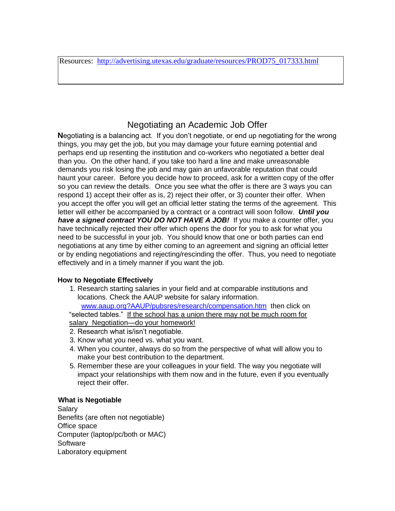Resources: [http://advertising.utexas.edu/graduate/resources/PROD75\\_017333.html](http://advertising.utexas.edu/graduate/resources/PROD75_017333.html)

# Negotiating an Academic Job Offer

**N**egotiating is a balancing act. If you don't negotiate, or end up negotiating for the wrong things, you may get the job, but you may damage your future earning potential and perhaps end up resenting the institution and co-workers who negotiated a better deal than you. On the other hand, if you take too hard a line and make unreasonable demands you risk losing the job and may gain an unfavorable reputation that could haunt your career. Before you decide how to proceed, ask for a written copy of the offer so you can review the details. Once you see what the offer is there are 3 ways you can respond 1) accept their offer as is, 2) reject their offer, or 3) counter their offer. When you accept the offer you will get an official letter stating the terms of the agreement. This letter will either be accompanied by a contract or a contract will soon follow. *Until you have a signed contract YOU DO NOT HAVE A JOB!* If you make a counter offer, you have technically rejected their offer which opens the door for you to ask for what you need to be successful in your job. You should know that one or both parties can end negotiations at any time by either coming to an agreement and signing an official letter or by ending negotiations and rejecting/rescinding the offer. Thus, you need to negotiate effectively and in a timely manner if you want the job.

### **How to Negotiate Effectively**

1. Research starting salaries in your field and at comparable institutions and locations. Check the AAUP website for salary information.

 [www.aaup.org?AAUP/pubsres/research/compensation.htm](http://www.aaup.org/?AAUP/pubsres/research/compensation.htm) then click on "selected tables." If the school has a union there may not be much room for salary Negotiation-do your homework!

- 2. Research what is/isn't negotiable.
- 3. Know what you need vs. what you want.
- 4. When you counter, always do so from the perspective of what will allow you to make your best contribution to the department.
- 5. Remember these are your colleagues in your field. The way you negotiate will impact your relationships with them now and in the future, even if you eventually reject their offer.

### **What is Negotiable**

Salary Benefits (are often not negotiable) Office space Computer (laptop/pc/both or MAC) **Software** Laboratory equipment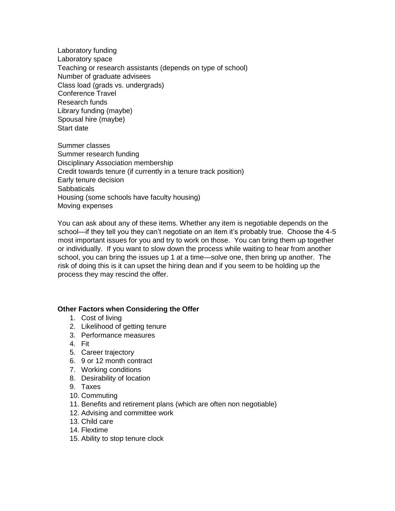Laboratory funding Laboratory space Teaching or research assistants (depends on type of school) Number of graduate advisees Class load (grads vs. undergrads) Conference Travel Research funds Library funding (maybe) Spousal hire (maybe) Start date

Summer classes Summer research funding Disciplinary Association membership Credit towards tenure (if currently in a tenure track position) Early tenure decision **Sabbaticals** Housing (some schools have faculty housing) Moving expenses

You can ask about any of these items. Whether any item is negotiable depends on the school—if they tell you they can't negotiate on an item it's probably true. Choose the 4-5 most important issues for you and try to work on those. You can bring them up together or individually. If you want to slow down the process while waiting to hear from another school, you can bring the issues up 1 at a time—solve one, then bring up another. The risk of doing this is it can upset the hiring dean and if you seem to be holding up the process they may rescind the offer.

### **Other Factors when Considering the Offer**

- 1. Cost of living
- 2. Likelihood of getting tenure
- 3. Performance measures
- 4. Fit
- 5. Career trajectory
- 6. 9 or 12 month contract
- 7. Working conditions
- 8. Desirability of location
- 9. Taxes
- 10. Commuting
- 11. Benefits and retirement plans (which are often non negotiable)
- 12. Advising and committee work
- 13. Child care
- 14. Flextime
- 15. Ability to stop tenure clock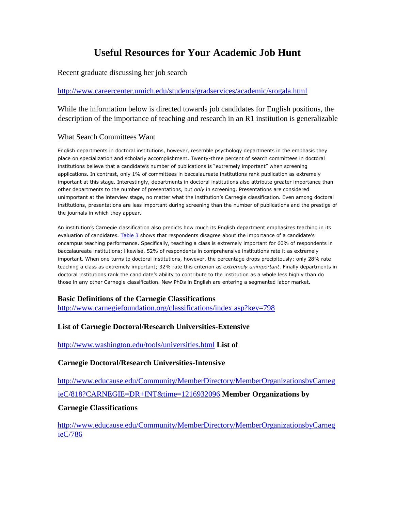# **Useful Resources for Your Academic Job Hunt**

Recent graduate discussing her job search

### <http://www.careercenter.umich.edu/students/gradservices/academic/srogala.html>

While the information below is directed towards job candidates for English positions, the description of the importance of teaching and research in an R1 institution is generalizable

### What Search Committees Want

English departments in doctoral institutions, however, resemble psychology departments in the emphasis they place on specialization and scholarly accomplishment. Twenty-three percent of search committees in doctoral institutions believe that a candidate's number of publications is "extremely important" when screening applications. In contrast, only 1% of committees in baccalaureate institutions rank publication as extremely important at this stage. Interestingly, departments in doctoral institutions also attribute greater importance than other departments to the number of presentations, but *only* in screening. Presentations are considered unimportant at the interview stage, no matter what the institution's Carnegie classification. Even among doctoral institutions, presentations are less important during screening than the number of publications and the prestige of the journals in which they appear.

An institution's Carnegie classification also predicts how much its English department emphasizes teaching in its evaluation of candidates. [Table 3](http://www.mla.org/resources/jil/jil_jobseekers/jil_jobseekers_pro#table3) shows that respondents disagree about the importance of a candidate's oncampus teaching performance. Specifically, teaching a class is extremely important for 60% of respondents in baccalaureate institutions; likewise, 52% of respondents in comprehensive institutions rate it as extremely important. When one turns to doctoral institutions, however, the percentage drops precipitously: only 28% rate teaching a class as extremely important; 32% rate this criterion as *extremely unimportant*. Finally departments in doctoral institutions rank the candidate's ability to contribute to the institution as a whole less highly than do those in any other Carnegie classification. New PhDs in English are entering a segmented labor market.

### **Basic Definitions of the Carnegie Classifications**

<http://www.carnegiefoundation.org/classifications/index.asp?key=798>

### **List of Carnegie Doctoral/Research Universities-Extensive**

<http://www.washington.edu/tools/universities.html> **List of** 

### **Carnegie Doctoral/Research Universities-Intensive**

[http://www.educause.edu/Community/MemberDirectory/MemberOrganizationsbyCarneg](http://www.educause.edu/Community/MemberDirectory/MemberOrganizationsbyCarnegieC/818?CARNEGIE=DR+INT&time=1216932096)  [ieC/818?CARNEGIE=DR+INT&time=1216932096](http://www.educause.edu/Community/MemberDirectory/MemberOrganizationsbyCarnegieC/818?CARNEGIE=DR+INT&time=1216932096) **[M](http://www.educause.edu/Community/MemberDirectory/MemberOrganizationsbyCarnegieC/818?CARNEGIE=DR+INT&time=1216932096)ember Organizations by** 

### **Carnegie Classifications**

[http://www.educause.edu/Community/MemberDirectory/MemberOrganizationsbyCarneg](http://www.educause.edu/Community/MemberDirectory/MemberOrganizationsbyCarnegieC/786)  [ieC/786](http://www.educause.edu/Community/MemberDirectory/MemberOrganizationsbyCarnegieC/786)